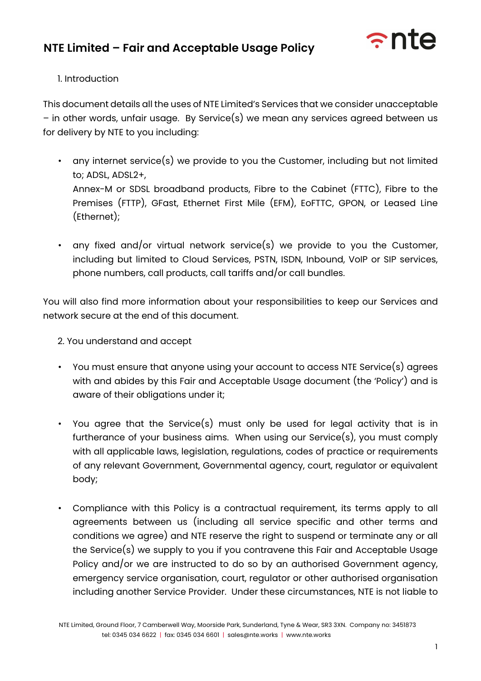

#### 1. Introduction

This document details all the uses of NTE Limited's Services that we consider unacceptable – in other words, unfair usage. By Service(s) we mean any services agreed between us for delivery by NTE to you including:

- any internet service(s) we provide to you the Customer, including but not limited to; ADSL, ADSL2+, Annex-M or SDSL broadband products, Fibre to the Cabinet (FTTC), Fibre to the Premises (FTTP), GFast, Ethernet First Mile (EFM), EoFTTC, GPON, or Leased Line (Ethernet);
- any fixed and/or virtual network service(s) we provide to you the Customer, including but limited to Cloud Services, PSTN, ISDN, Inbound, VoIP or SIP services, phone numbers, call products, call tariffs and/or call bundles.

You will also find more information about your responsibilities to keep our Services and network secure at the end of this document.

2. You understand and accept

- You must ensure that anyone using your account to access NTE Service(s) agrees with and abides by this Fair and Acceptable Usage document (the 'Policy') and is aware of their obligations under it;
- You agree that the Service(s) must only be used for legal activity that is in furtherance of your business aims. When using our Service(s), you must comply with all applicable laws, legislation, regulations, codes of practice or requirements of any relevant Government, Governmental agency, court, regulator or equivalent body;
- Compliance with this Policy is a contractual requirement, its terms apply to all agreements between us (including all service specific and other terms and conditions we agree) and NTE reserve the right to suspend or terminate any or all the Service(s) we supply to you if you contravene this Fair and Acceptable Usage Policy and/or we are instructed to do so by an authorised Government agency, emergency service organisation, court, regulator or other authorised organisation including another Service Provider. Under these circumstances, NTE is not liable to

NTE Limited, Ground Floor, 7 Camberwell Way, Moorside Park, Sunderland, Tyne & Wear, SR3 3XN. Company no: 3451873 tel: 0345 034 6622 | fax: 0345 034 6601 | sales@nte.works | www.nte.works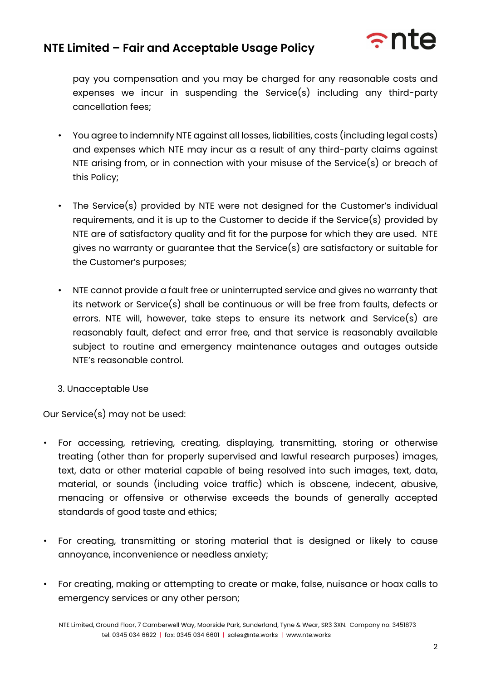

pay you compensation and you may be charged for any reasonable costs and expenses we incur in suspending the Service(s) including any third-party cancellation fees;

- You agree to indemnify NTE against all losses, liabilities, costs (including legal costs) and expenses which NTE may incur as a result of any third-party claims against NTE arising from, or in connection with your misuse of the Service(s) or breach of this Policy;
- The Service(s) provided by NTE were not designed for the Customer's individual requirements, and it is up to the Customer to decide if the Service(s) provided by NTE are of satisfactory quality and fit for the purpose for which they are used. NTE gives no warranty or guarantee that the Service(s) are satisfactory or suitable for the Customer's purposes;
- NTE cannot provide a fault free or uninterrupted service and gives no warranty that its network or Service(s) shall be continuous or will be free from faults, defects or errors. NTE will, however, take steps to ensure its network and Service(s) are reasonably fault, defect and error free, and that service is reasonably available subject to routine and emergency maintenance outages and outages outside NTE's reasonable control.
- 3. Unacceptable Use

Our Service(s) may not be used:

- For accessing, retrieving, creating, displaying, transmitting, storing or otherwise treating (other than for properly supervised and lawful research purposes) images, text, data or other material capable of being resolved into such images, text, data, material, or sounds (including voice traffic) which is obscene, indecent, abusive, menacing or offensive or otherwise exceeds the bounds of generally accepted standards of good taste and ethics;
- For creating, transmitting or storing material that is designed or likely to cause annoyance, inconvenience or needless anxiety;
- For creating, making or attempting to create or make, false, nuisance or hoax calls to emergency services or any other person;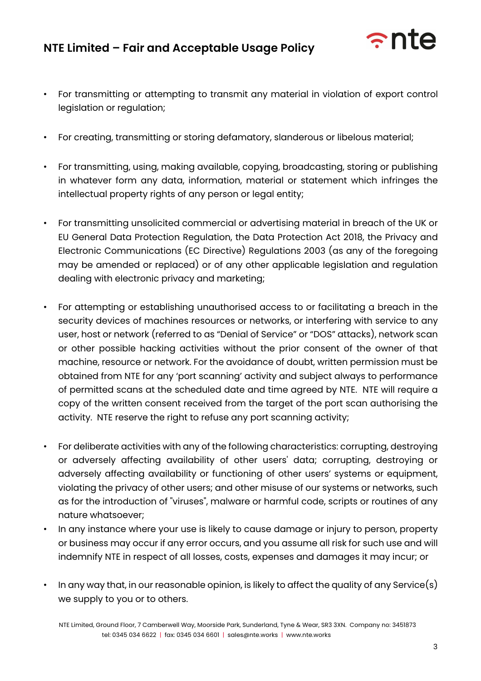

- For transmitting or attempting to transmit any material in violation of export control legislation or regulation;
- For creating, transmitting or storing defamatory, slanderous or libelous material;
- For transmitting, using, making available, copying, broadcasting, storing or publishing in whatever form any data, information, material or statement which infringes the intellectual property rights of any person or legal entity;
- For transmitting unsolicited commercial or advertising material in breach of the UK or EU General Data Protection Regulation, the Data Protection Act 2018, the Privacy and Electronic Communications (EC Directive) Regulations 2003 (as any of the foregoing may be amended or replaced) or of any other applicable legislation and regulation dealing with electronic privacy and marketing;
- For attempting or establishing unauthorised access to or facilitating a breach in the security devices of machines resources or networks, or interfering with service to any user, host or network (referred to as "Denial of Service" or "DOS" attacks), network scan or other possible hacking activities without the prior consent of the owner of that machine, resource or network. For the avoidance of doubt, written permission must be obtained from NTE for any 'port scanning' activity and subject always to performance of permitted scans at the scheduled date and time agreed by NTE. NTE will require a copy of the written consent received from the target of the port scan authorising the activity. NTE reserve the right to refuse any port scanning activity;
- For deliberate activities with any of the following characteristics: corrupting, destroying or adversely affecting availability of other users' data; corrupting, destroying or adversely affecting availability or functioning of other users' systems or equipment, violating the privacy of other users; and other misuse of our systems or networks, such as for the introduction of "viruses", malware or harmful code, scripts or routines of any nature whatsoever;
- In any instance where your use is likely to cause damage or injury to person, property or business may occur if any error occurs, and you assume all risk for such use and will indemnify NTE in respect of all losses, costs, expenses and damages it may incur; or
- In any way that, in our reasonable opinion, is likely to affect the quality of any Service(s) we supply to you or to others.

NTE Limited, Ground Floor, 7 Camberwell Way, Moorside Park, Sunderland, Tyne & Wear, SR3 3XN. Company no: 3451873 tel: 0345 034 6622 | fax: 0345 034 6601 | sales@nte.works | www.nte.works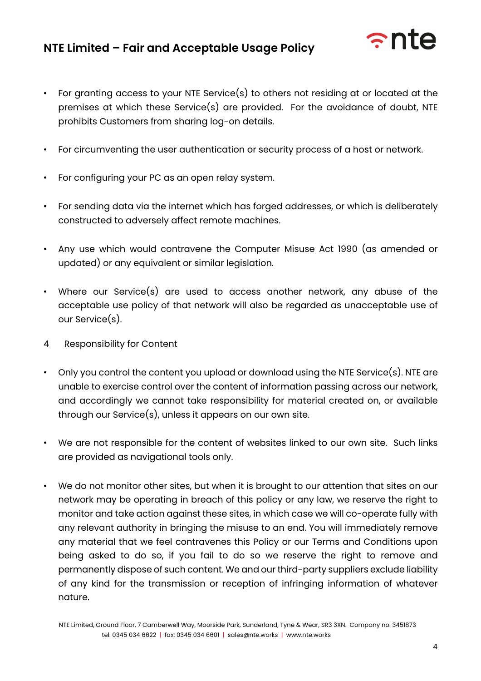

- For granting access to your NTE Service(s) to others not residing at or located at the premises at which these Service(s) are provided. For the avoidance of doubt, NTE prohibits Customers from sharing log-on details.
- For circumventing the user authentication or security process of a host or network.
- For configuring your PC as an open relay system.
- For sending data via the internet which has forged addresses, or which is deliberately constructed to adversely affect remote machines.
- Any use which would contravene the Computer Misuse Act 1990 (as amended or updated) or any equivalent or similar legislation.
- Where our Service(s) are used to access another network, any abuse of the acceptable use policy of that network will also be regarded as unacceptable use of our Service(s).
- 4 Responsibility for Content
- Only you control the content you upload or download using the NTE Service(s). NTE are unable to exercise control over the content of information passing across our network, and accordingly we cannot take responsibility for material created on, or available through our Service(s), unless it appears on our own site.
- We are not responsible for the content of websites linked to our own site. Such links are provided as navigational tools only.
- We do not monitor other sites, but when it is brought to our attention that sites on our network may be operating in breach of this policy or any law, we reserve the right to monitor and take action against these sites, in which case we will co-operate fully with any relevant authority in bringing the misuse to an end. You will immediately remove any material that we feel contravenes this Policy or our Terms and Conditions upon being asked to do so, if you fail to do so we reserve the right to remove and permanently dispose of such content. We and our third-party suppliers exclude liability of any kind for the transmission or reception of infringing information of whatever nature.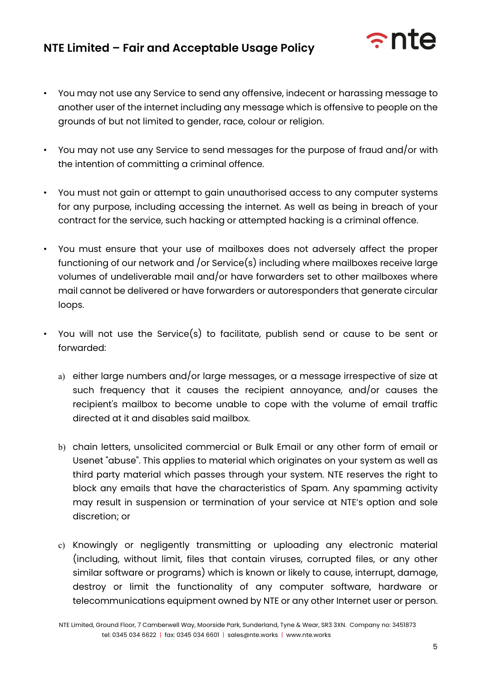

- You may not use any Service to send any offensive, indecent or harassing message to another user of the internet including any message which is offensive to people on the grounds of but not limited to gender, race, colour or religion.
- You may not use any Service to send messages for the purpose of fraud and/or with the intention of committing a criminal offence.
- You must not gain or attempt to gain unauthorised access to any computer systems for any purpose, including accessing the internet. As well as being in breach of your contract for the service, such hacking or attempted hacking is a criminal offence.
- You must ensure that your use of mailboxes does not adversely affect the proper functioning of our network and /or Service(s) including where mailboxes receive large volumes of undeliverable mail and/or have forwarders set to other mailboxes where mail cannot be delivered or have forwarders or autoresponders that generate circular loops.
- You will not use the Service(s) to facilitate, publish send or cause to be sent or forwarded:
	- a) either large numbers and/or large messages, or a message irrespective of size at such frequency that it causes the recipient annoyance, and/or causes the recipient's mailbox to become unable to cope with the volume of email traffic directed at it and disables said mailbox.
	- b) chain letters, unsolicited commercial or Bulk Email or any other form of email or Usenet "abuse". This applies to material which originates on your system as well as third party material which passes through your system. NTE reserves the right to block any emails that have the characteristics of Spam. Any spamming activity may result in suspension or termination of your service at NTE's option and sole discretion; or
	- c) Knowingly or negligently transmitting or uploading any electronic material (including, without limit, files that contain viruses, corrupted files, or any other similar software or programs) which is known or likely to cause, interrupt, damage, destroy or limit the functionality of any computer software, hardware or telecommunications equipment owned by NTE or any other Internet user or person.

NTE Limited, Ground Floor, 7 Camberwell Way, Moorside Park, Sunderland, Tyne & Wear, SR3 3XN. Company no: 3451873 tel: 0345 034 6622 | fax: 0345 034 6601 | sales@nte.works | www.nte.works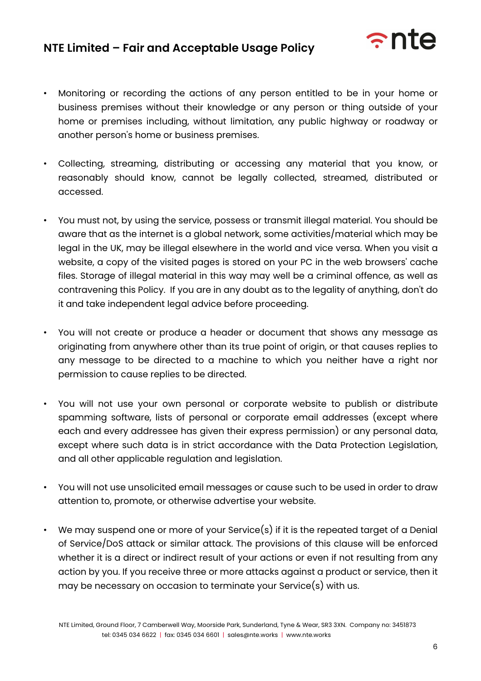

- Monitoring or recording the actions of any person entitled to be in your home or business premises without their knowledge or any person or thing outside of your home or premises including, without limitation, any public highway or roadway or another person's home or business premises.
- Collecting, streaming, distributing or accessing any material that you know, or reasonably should know, cannot be legally collected, streamed, distributed or accessed.
- You must not, by using the service, possess or transmit illegal material. You should be aware that as the internet is a global network, some activities/material which may be legal in the UK, may be illegal elsewhere in the world and vice versa. When you visit a website, a copy of the visited pages is stored on your PC in the web browsers' cache files. Storage of illegal material in this way may well be a criminal offence, as well as contravening this Policy. If you are in any doubt as to the legality of anything, don't do it and take independent legal advice before proceeding.
- You will not create or produce a header or document that shows any message as originating from anywhere other than its true point of origin, or that causes replies to any message to be directed to a machine to which you neither have a right nor permission to cause replies to be directed.
- You will not use your own personal or corporate website to publish or distribute spamming software, lists of personal or corporate email addresses (except where each and every addressee has given their express permission) or any personal data, except where such data is in strict accordance with the Data Protection Legislation, and all other applicable regulation and legislation.
- You will not use unsolicited email messages or cause such to be used in order to draw attention to, promote, or otherwise advertise your website.
- We may suspend one or more of your Service(s) if it is the repeated target of a Denial of Service/DoS attack or similar attack. The provisions of this clause will be enforced whether it is a direct or indirect result of your actions or even if not resulting from any action by you. If you receive three or more attacks against a product or service, then it may be necessary on occasion to terminate your Service(s) with us.

NTE Limited, Ground Floor, 7 Camberwell Way, Moorside Park, Sunderland, Tyne & Wear, SR3 3XN. Company no: 3451873 tel: 0345 034 6622 | fax: 0345 034 6601 | sales@nte.works | www.nte.works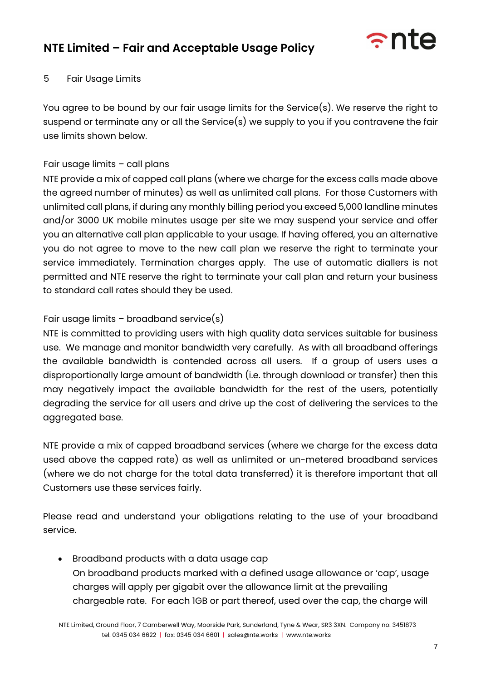

#### 5 Fair Usage Limits

You agree to be bound by our fair usage limits for the Service(s). We reserve the right to suspend or terminate any or all the Service(s) we supply to you if you contravene the fair use limits shown below.

#### Fair usage limits – call plans

NTE provide a mix of capped call plans (where we charge for the excess calls made above the agreed number of minutes) as well as unlimited call plans. For those Customers with unlimited call plans, if during any monthly billing period you exceed 5,000 landline minutes and/or 3000 UK mobile minutes usage per site we may suspend your service and offer you an alternative call plan applicable to your usage. If having offered, you an alternative you do not agree to move to the new call plan we reserve the right to terminate your service immediately. Termination charges apply. The use of automatic diallers is not permitted and NTE reserve the right to terminate your call plan and return your business to standard call rates should they be used.

#### Fair usage limits – broadband service(s)

NTE is committed to providing users with high quality data services suitable for business use. We manage and monitor bandwidth very carefully. As with all broadband offerings the available bandwidth is contended across all users. If a group of users uses a disproportionally large amount of bandwidth (i.e. through download or transfer) then this may negatively impact the available bandwidth for the rest of the users, potentially degrading the service for all users and drive up the cost of delivering the services to the aggregated base.

NTE provide a mix of capped broadband services (where we charge for the excess data used above the capped rate) as well as unlimited or un-metered broadband services (where we do not charge for the total data transferred) it is therefore important that all Customers use these services fairly.

Please read and understand your obligations relating to the use of your broadband service.

• Broadband products with a data usage cap On broadband products marked with a defined usage allowance or 'cap', usage charges will apply per gigabit over the allowance limit at the prevailing chargeable rate. For each 1GB or part thereof, used over the cap, the charge will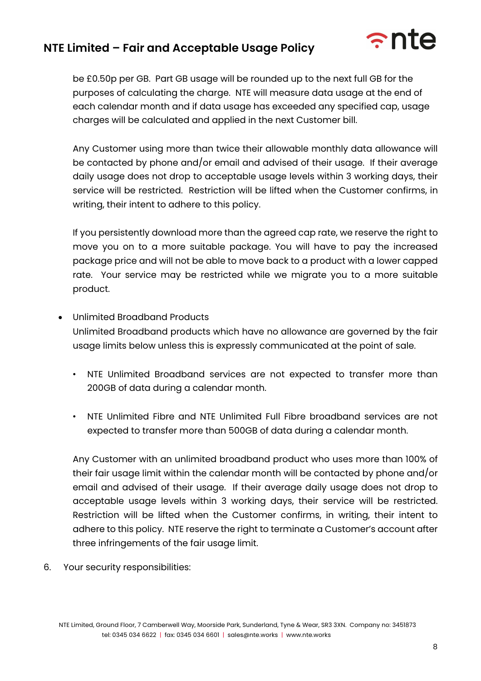

be £0.50p per GB. Part GB usage will be rounded up to the next full GB for the purposes of calculating the charge. NTE will measure data usage at the end of each calendar month and if data usage has exceeded any specified cap, usage charges will be calculated and applied in the next Customer bill.

Any Customer using more than twice their allowable monthly data allowance will be contacted by phone and/or email and advised of their usage. If their average daily usage does not drop to acceptable usage levels within 3 working days, their service will be restricted. Restriction will be lifted when the Customer confirms, in writing, their intent to adhere to this policy.

If you persistently download more than the agreed cap rate, we reserve the right to move you on to a more suitable package. You will have to pay the increased package price and will not be able to move back to a product with a lower capped rate. Your service may be restricted while we migrate you to a more suitable product.

- Unlimited Broadband Products Unlimited Broadband products which have no allowance are governed by the fair usage limits below unless this is expressly communicated at the point of sale.
	- NTE Unlimited Broadband services are not expected to transfer more than 200GB of data during a calendar month.
	- NTE Unlimited Fibre and NTE Unlimited Full Fibre broadband services are not expected to transfer more than 500GB of data during a calendar month.

Any Customer with an unlimited broadband product who uses more than 100% of their fair usage limit within the calendar month will be contacted by phone and/or email and advised of their usage. If their average daily usage does not drop to acceptable usage levels within 3 working days, their service will be restricted. Restriction will be lifted when the Customer confirms, in writing, their intent to adhere to this policy. NTE reserve the right to terminate a Customer's account after three infringements of the fair usage limit.

6. Your security responsibilities: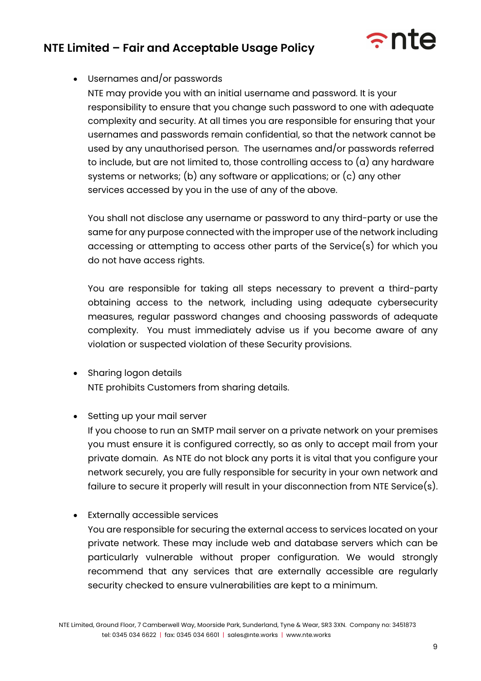

### • Usernames and/or passwords

NTE may provide you with an initial username and password. It is your responsibility to ensure that you change such password to one with adequate complexity and security. At all times you are responsible for ensuring that your usernames and passwords remain confidential, so that the network cannot be used by any unauthorised person. The usernames and/or passwords referred to include, but are not limited to, those controlling access to (a) any hardware systems or networks; (b) any software or applications; or (c) any other services accessed by you in the use of any of the above.

You shall not disclose any username or password to any third-party or use the same for any purpose connected with the improper use of the network including accessing or attempting to access other parts of the Service(s) for which you do not have access rights.

You are responsible for taking all steps necessary to prevent a third-party obtaining access to the network, including using adequate cybersecurity measures, regular password changes and choosing passwords of adequate complexity. You must immediately advise us if you become aware of any violation or suspected violation of these Security provisions.

- Sharing logon details NTE prohibits Customers from sharing details.
- Setting up your mail server

If you choose to run an SMTP mail server on a private network on your premises you must ensure it is configured correctly, so as only to accept mail from your private domain. As NTE do not block any ports it is vital that you configure your network securely, you are fully responsible for security in your own network and failure to secure it properly will result in your disconnection from NTE Service(s).

**Externally accessible services** 

You are responsible for securing the external access to services located on your private network. These may include web and database servers which can be particularly vulnerable without proper configuration. We would strongly recommend that any services that are externally accessible are regularly security checked to ensure vulnerabilities are kept to a minimum.

NTE Limited, Ground Floor, 7 Camberwell Way, Moorside Park, Sunderland, Tyne & Wear, SR3 3XN. Company no: 3451873 tel: 0345 034 6622 | fax: 0345 034 6601 | sales@nte.works | www.nte.works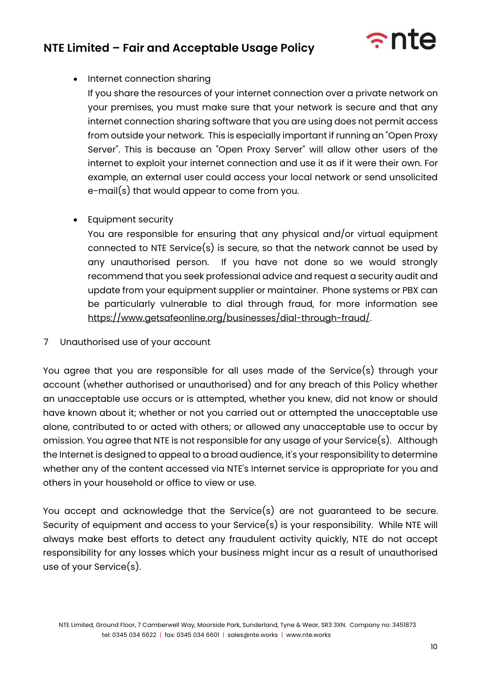

• Internet connection sharing

If you share the resources of your internet connection over a private network on your premises, you must make sure that your network is secure and that any internet connection sharing software that you are using does not permit access from outside your network. This is especially important if running an "Open Proxy Server". This is because an "Open Proxy Server" will allow other users of the internet to exploit your internet connection and use it as if it were their own. For example, an external user could access your local network or send unsolicited e-mail(s) that would appear to come from you.

• Equipment security

You are responsible for ensuring that any physical and/or virtual equipment connected to NTE Service(s) is secure, so that the network cannot be used by any unauthorised person. If you have not done so we would strongly recommend that you seek professional advice and request a security audit and update from your equipment supplier or maintainer. Phone systems or PBX can be particularly vulnerable to dial through fraud, for more information see https://www.getsafeonline.org/businesses/dial-through-fraud/.

7 Unauthorised use of your account

You agree that you are responsible for all uses made of the Service(s) through your account (whether authorised or unauthorised) and for any breach of this Policy whether an unacceptable use occurs or is attempted, whether you knew, did not know or should have known about it; whether or not you carried out or attempted the unacceptable use alone, contributed to or acted with others; or allowed any unacceptable use to occur by omission. You agree that NTE is not responsible for any usage of your Service(s). Although the Internet is designed to appeal to a broad audience, it's your responsibility to determine whether any of the content accessed via NTE's Internet service is appropriate for you and others in your household or office to view or use.

You accept and acknowledge that the Service(s) are not guaranteed to be secure. Security of equipment and access to your Service(s) is your responsibility. While NTE will always make best efforts to detect any fraudulent activity quickly, NTE do not accept responsibility for any losses which your business might incur as a result of unauthorised use of your Service(s).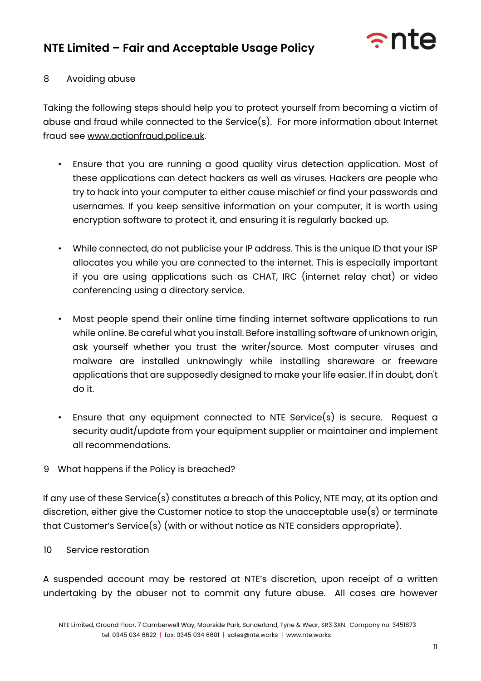

#### 8 Avoiding abuse

Taking the following steps should help you to protect yourself from becoming a victim of abuse and fraud while connected to the Service(s). For more information about Internet fraud see www.actionfraud.police.uk.

- Ensure that you are running a good quality virus detection application. Most of these applications can detect hackers as well as viruses. Hackers are people who try to hack into your computer to either cause mischief or find your passwords and usernames. If you keep sensitive information on your computer, it is worth using encryption software to protect it, and ensuring it is regularly backed up.
- While connected, do not publicise your IP address. This is the unique ID that your ISP allocates you while you are connected to the internet. This is especially important if you are using applications such as CHAT, IRC (internet relay chat) or video conferencing using a directory service.
- Most people spend their online time finding internet software applications to run while online. Be careful what you install. Before installing software of unknown origin, ask yourself whether you trust the writer/source. Most computer viruses and malware are installed unknowingly while installing shareware or freeware applications that are supposedly designed to make your life easier. If in doubt, don't do it.
- Ensure that any equipment connected to NTE Service(s) is secure. Request a security audit/update from your equipment supplier or maintainer and implement all recommendations.
- 9 What happens if the Policy is breached?

If any use of these Service(s) constitutes a breach of this Policy, NTE may, at its option and discretion, either give the Customer notice to stop the unacceptable use(s) or terminate that Customer's Service(s) (with or without notice as NTE considers appropriate).

10 Service restoration

A suspended account may be restored at NTE's discretion, upon receipt of a written undertaking by the abuser not to commit any future abuse. All cases are however